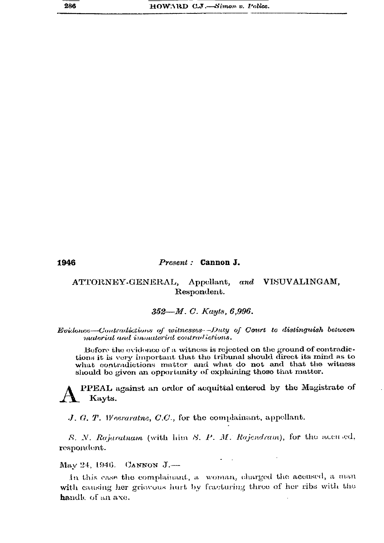1946

## Present : Cannon J.

## ATTORNEY-GENERAL, Appellant, and VISUVALINGAM, Respondent.

## 352—M. C. Kayts, 6,996.

## Evidence-Contradictions of witnesses-Duty of Court to distinguish between material and immaterial contradictions.

Before the evidence of a witness is rejected on the ground of contradictions it is very important that the tribunal should direct its mind as to what contradictions matter and what do not and that the witness should be given an opportunity of explaining those that matter.

PPEAL against an order of acquittal entered by the Magistrate of Kayts.

 $J, G, T$ . Weeraratue, C.C., for the complainant, appellant.

S. N. Rajaratnam (with him S. P. M. Rajendram), for the accused, respondent.

May 24, 1946. CANNON J.-

In this case the complainant, a woman, charged the accused, a man with causing her griovous hurt by fracturing three of her ribs with the handle of an axe.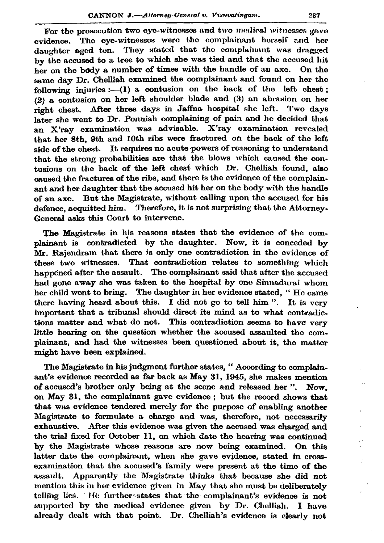For the prosecution two eye-witnesses and two medical witnesses gave evidence. The eye-witnesses were the complainant herself and her daughter aged ten. They stated that the complainant was dragged by the accused to a tree to which she was tied and that the accused hit her on the body a number of times with the handle of an axe. On the same day Dr. Chelliah examined the complainant and found on her the following injuries :-  $(1)$  a contusion on the back of the left chest;  $(2)$  a contusion on her left shoulder blade and  $(3)$  an abrasion on her right chest. After three days in Jaffna hospital she left. Two days later she went to Dr. Ponniah complaining of pain and he decided that an X'ray examination was advisable. X'ray examination revealed that her 8th. 9th and 10th ribs were fractured on the back of the left side of the chest. It requires no acute powers of reasoning to understand that the strong probabilities are that the blows which caused the contusions on the back of the left chest which Dr. Chelliah found. also caused the fractures of the ribs, and there is the evidence of the complainant and her daughter that the accused hit her on the body with the handle of an axe. But the Magistrate, without calling upon the accused for his defence, acquitted him. Therefore, it is not surprising that the Attorney-General asks this Court to intervene.

The Magistrate in his reasons states that the evidence of the complainant is contradicted by the daughter. Now, it is conceded by Mr. Rajendram that there is only one contradiction in the evidence of these two witnesses. That contradiction relates to something which happened after the assault. The complainant said that after the accused had gone away she was taken to the hospital by one Sinnadurai whom her child went to bring. The daughter in her evidence stated, "He came there having heard about this. I did not go to tell him". It is very important that a tribunal should direct its mind as to what contradictions matter and what do not. This contradiction seems to have very little bearing on the question whether the accused assaulted the complainant, and had the witnesses been questioned about it, the matter might have been explained.

The Magistrate in his judgment further states, "According to complainant's evidence recorded as far back as May 31, 1945, she makes mention of accused's brother only being at the scene and released her". Now. on May 31, the complainant gave evidence; but the record shows that that was evidence tendered merely for the purpose of enabling another Magistrate to formulate a charge and was, therefore, not necessarily exhaustive. After this evidence was given the accused was charged and the trial fixed for October 11, on which date the hearing was continued by the Magistrate whose reasons are now being examined. On this latter date the complainant, when she gave evidence, stated in crossexamination that the accused's family were present at the time of the assault. Apparently the Magistrate thinks that because she did not mention this in her evidence given in May that she must be deliberately telling lies. He further states that the complainant's evidence is not supported by the medical evidence given by Dr. Chelliah. I have already dealt with that point. Dr. Chelliah's evidence is clearly not